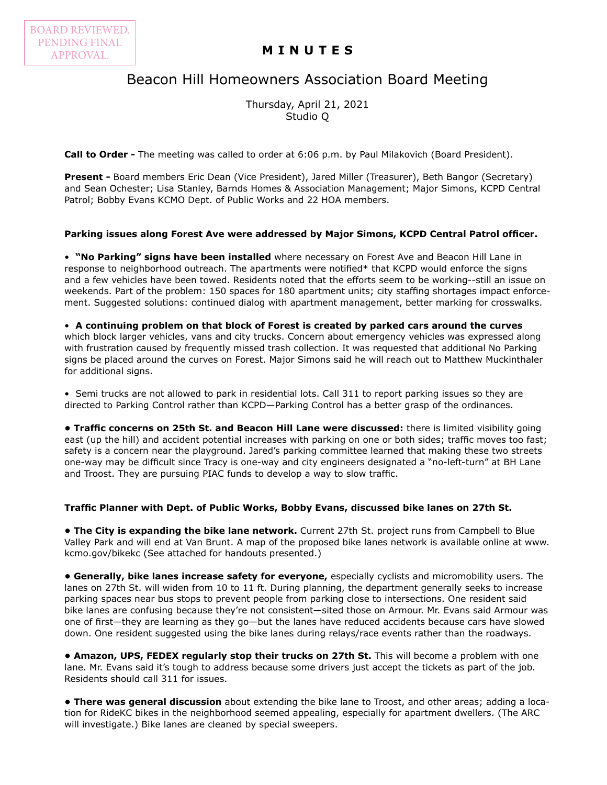## **MINUTES**

# Beacon Hill Homeowners Association Board Meeting

Thursday, April 21, 2021 Studio Q

**Call to Order -** The meeting was called to order at 6:06 p.m. by Paul Milakovich (Board President).

**Present -** Board members Eric Dean (Vice President), Jared Miller (Treasurer), Beth Bangor (Secretary) and Sean Ochester; Lisa Stanley, Barnds Homes & Association Management; Major Simons, KCPD Central Patrol; Bobby Evans KCMO Dept. of Public Works and 22 HOA members.

### **Parking issues along Forest Ave were addressed by Major Simons, KCPD Central Patrol officer.**

• **"No Parking" signs have been installed** where necessary on Forest Ave and Beacon Hill Lane in response to neighborhood outreach. The apartments were notified\* that KCPD would enforce the signs and a few vehicles have been towed. Residents noted that the efforts seem to be working--still an issue on weekends. Part of the problem: 150 spaces for 180 apartment units; city staffing shortages impact enforcement. Suggested solutions: continued dialog with apartment management, better marking for crosswalks.

• **A continuing problem on that block of Forest is created by parked cars around the curves** which block larger vehicles, vans and city trucks. Concern about emergency vehicles was expressed along with frustration caused by frequently missed trash collection. It was requested that additional No Parking signs be placed around the curves on Forest. Major Simons said he will reach out to Matthew Muckinthaler for additional signs.

• Semi trucks are not allowed to park in residential lots. Call 311 to report parking issues so they are directed to Parking Control rather than KCPD—Parking Control has a better grasp of the ordinances.

**• Traffic concerns on 25th St. and Beacon Hill Lane were discussed:** there is limited visibility going east (up the hill) and accident potential increases with parking on one or both sides; traffic moves too fast; safety is a concern near the playground. Jared's parking committee learned that making these two streets one-way may be difficult since Tracy is one-way and city engineers designated a "no-left-turn" at BH Lane and Troost. They are pursuing PIAC funds to develop a way to slow traffic.

#### **Traffic Planner with Dept. of Public Works, Bobby Evans, discussed bike lanes on 27th St.**

**• The City is expanding the bike lane network.** Current 27th St. project runs from Campbell to Blue Valley Park and will end at Van Brunt. A map of the proposed bike lanes network is available online at www. kcmo.gov/bikekc (See attached for handouts presented.)

**• Generally, bike lanes increase safety for everyone,** especially cyclists and micromobility users. The lanes on 27th St. will widen from 10 to 11 ft. During planning, the department generally seeks to increase parking spaces near bus stops to prevent people from parking close to intersections. One resident said bike lanes are confusing because they're not consistent—sited those on Armour. Mr. Evans said Armour was one of first—they are learning as they go—but the lanes have reduced accidents because cars have slowed down. One resident suggested using the bike lanes during relays/race events rather than the roadways.

**• Amazon, UPS, FEDEX regularly stop their trucks on 27th St.** This will become a problem with one lane. Mr. Evans said it's tough to address because some drivers just accept the tickets as part of the job. Residents should call 311 for issues.

**• There was general discussion** about extending the bike lane to Troost, and other areas; adding a location for RideKC bikes in the neighborhood seemed appealing, especially for apartment dwellers. (The ARC will investigate.) Bike lanes are cleaned by special sweepers.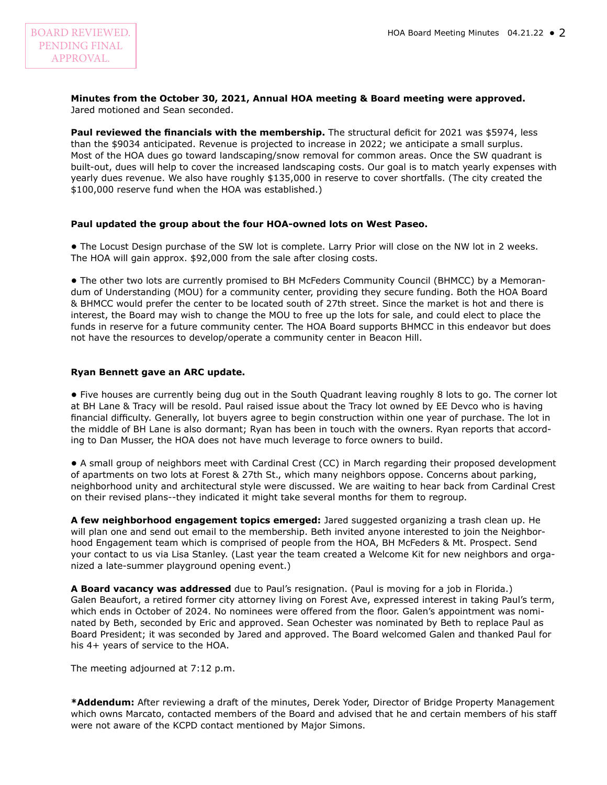## **Minutes from the October 30, 2021, Annual HOA meeting & Board meeting were approved.**

Jared motioned and Sean seconded.

**Paul reviewed the financials with the membership.** The structural deficit for 2021 was \$5974, less than the \$9034 anticipated. Revenue is projected to increase in 2022; we anticipate a small surplus. Most of the HOA dues go toward landscaping/snow removal for common areas. Once the SW quadrant is built-out, dues will help to cover the increased landscaping costs. Our goal is to match yearly expenses with yearly dues revenue. We also have roughly \$135,000 in reserve to cover shortfalls. (The city created the \$100,000 reserve fund when the HOA was established.)

### **Paul updated the group about the four HOA-owned lots on West Paseo.**

**•** The Locust Design purchase of the SW lot is complete. Larry Prior will close on the NW lot in 2 weeks. The HOA will gain approx. \$92,000 from the sale after closing costs.

**•** The other two lots are currently promised to BH McFeders Community Council (BHMCC) by a Memorandum of Understanding (MOU) for a community center, providing they secure funding. Both the HOA Board & BHMCC would prefer the center to be located south of 27th street. Since the market is hot and there is interest, the Board may wish to change the MOU to free up the lots for sale, and could elect to place the funds in reserve for a future community center. The HOA Board supports BHMCC in this endeavor but does not have the resources to develop/operate a community center in Beacon Hill.

### **Ryan Bennett gave an ARC update.**

**•** Five houses are currently being dug out in the South Quadrant leaving roughly 8 lots to go. The corner lot at BH Lane & Tracy will be resold. Paul raised issue about the Tracy lot owned by EE Devco who is having financial difficulty. Generally, lot buyers agree to begin construction within one year of purchase. The lot in the middle of BH Lane is also dormant; Ryan has been in touch with the owners. Ryan reports that according to Dan Musser, the HOA does not have much leverage to force owners to build.

**•** A small group of neighbors meet with Cardinal Crest (CC) in March regarding their proposed development of apartments on two lots at Forest & 27th St., which many neighbors oppose. Concerns about parking, neighborhood unity and architectural style were discussed. We are waiting to hear back from Cardinal Crest on their revised plans--they indicated it might take several months for them to regroup.

**A few neighborhood engagement topics emerged:** Jared suggested organizing a trash clean up. He will plan one and send out email to the membership. Beth invited anyone interested to join the Neighborhood Engagement team which is comprised of people from the HOA, BH McFeders & Mt. Prospect. Send your contact to us via Lisa Stanley. (Last year the team created a Welcome Kit for new neighbors and organized a late-summer playground opening event.)

**A Board vacancy was addressed** due to Paul's resignation. (Paul is moving for a job in Florida.) Galen Beaufort, a retired former city attorney living on Forest Ave, expressed interest in taking Paul's term, which ends in October of 2024. No nominees were offered from the floor. Galen's appointment was nominated by Beth, seconded by Eric and approved. Sean Ochester was nominated by Beth to replace Paul as Board President; it was seconded by Jared and approved. The Board welcomed Galen and thanked Paul for his 4+ years of service to the HOA.

The meeting adjourned at 7:12 p.m.

**\*Addendum:** After reviewing a draft of the minutes, Derek Yoder, Director of Bridge Property Management which owns Marcato, contacted members of the Board and advised that he and certain members of his staff were not aware of the KCPD contact mentioned by Major Simons.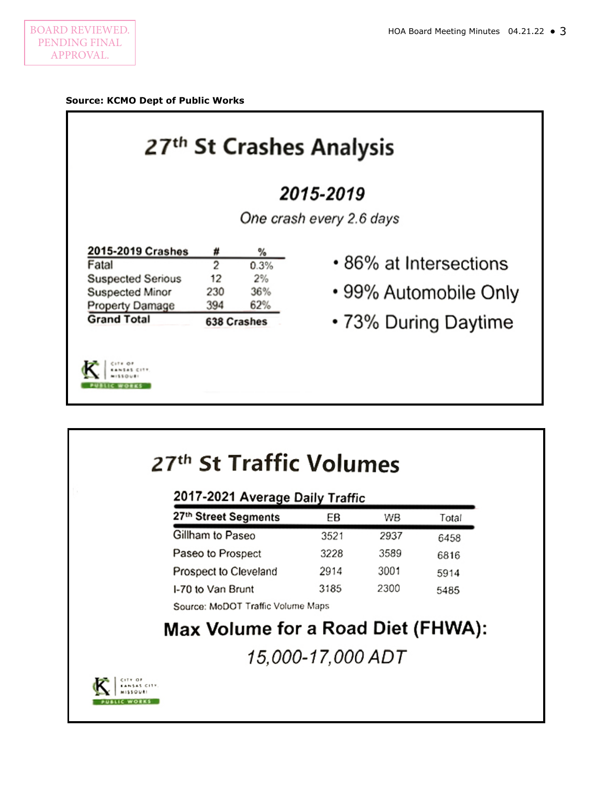### **Source: KCMO Dept of Public Works** 27<sup>th</sup> St Crashes Analysis 2015-2019 One crash every 2.6 days 2015-2019 Crashes # % • 86% at Intersections  $\overline{2}$ Fatal  $0.3%$ **Suspected Serious**  $12$  $2%$ • 99% Automobile Only 230 36% Suspected Minor 394 62% **Property Damage Grand Total** • 73% During Daytime 638 Crashes CITY OF  $M1110V1$ **PUBLIC WORKS**

| 2017-2021 Average Daily Traffic |      |      |       |
|---------------------------------|------|------|-------|
| 27th Street Segments            | EВ   | WВ   | Total |
| Gillham to Paseo                | 3521 | 2937 | 6458  |
| Paseo to Prospect               | 3228 | 3589 | 6816  |
| Prospect to Cleveland           | 2914 | 3001 | 5914  |
| I-70 to Van Brunt               | 3185 | 2300 | 5485  |

15,000-17,000 ADT